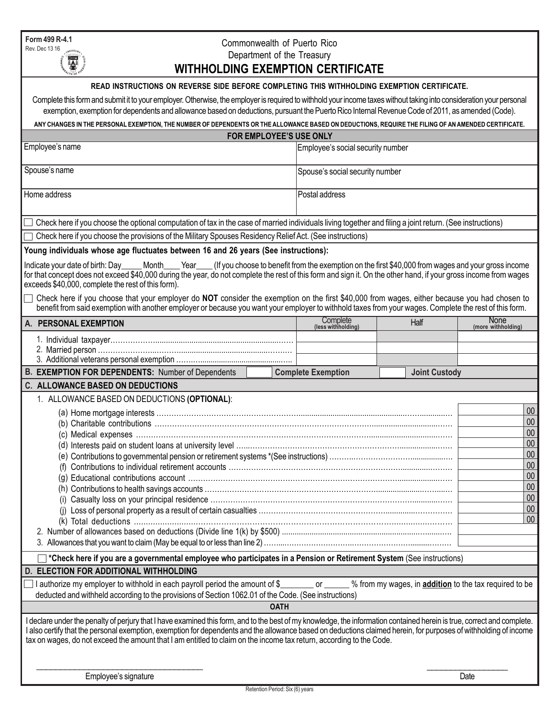**Form 499 R-4.1** Rev. Dec 13 16

# Commonwealth of Puerto Rico Department of the Treasury

| <b>SHOP</b><br><b>WITHHOLDING EXEMPTION CERTIFICATE</b>                                                                                                                                                                                                                                                                                                                                                                                                                                                                                                                                  |                                                                                                     |                                 |                            |
|------------------------------------------------------------------------------------------------------------------------------------------------------------------------------------------------------------------------------------------------------------------------------------------------------------------------------------------------------------------------------------------------------------------------------------------------------------------------------------------------------------------------------------------------------------------------------------------|-----------------------------------------------------------------------------------------------------|---------------------------------|----------------------------|
| READ INSTRUCTIONS ON REVERSE SIDE BEFORE COMPLETING THIS WITHHOLDING EXEMPTION CERTIFICATE.                                                                                                                                                                                                                                                                                                                                                                                                                                                                                              |                                                                                                     |                                 |                            |
| Complete this form and submit it to your employer. Otherwise, the employer is required to withhold your income taxes without taking into consideration your personal                                                                                                                                                                                                                                                                                                                                                                                                                     |                                                                                                     |                                 |                            |
| exemption, exemption for dependents and allowance based on deductions, pursuant the Puerto Rico Internal Revenue Code of 2011, as amended (Code).                                                                                                                                                                                                                                                                                                                                                                                                                                        |                                                                                                     |                                 |                            |
| ANY CHANGES IN THE PERSONAL EXEMPTION, THE NUMBER OF DEPENDENTS OR THE ALLOWANCE BASED ON DEDUCTIONS, REQUIRE THE FILING OF AN AMENDED CERTIFICATE.                                                                                                                                                                                                                                                                                                                                                                                                                                      |                                                                                                     |                                 |                            |
| FOR EMPLOYEE'S USE ONLY                                                                                                                                                                                                                                                                                                                                                                                                                                                                                                                                                                  |                                                                                                     |                                 |                            |
| Employee's name                                                                                                                                                                                                                                                                                                                                                                                                                                                                                                                                                                          | Employee's social security number                                                                   |                                 |                            |
| Spouse's name                                                                                                                                                                                                                                                                                                                                                                                                                                                                                                                                                                            |                                                                                                     | Spouse's social security number |                            |
| Home address                                                                                                                                                                                                                                                                                                                                                                                                                                                                                                                                                                             | Postal address                                                                                      |                                 |                            |
| Check here if you choose the optional computation of tax in the case of married individuals living together and filing a joint return. (See instructions)                                                                                                                                                                                                                                                                                                                                                                                                                                |                                                                                                     |                                 |                            |
| Check here if you choose the provisions of the Military Spouses Residency Relief Act. (See instructions)                                                                                                                                                                                                                                                                                                                                                                                                                                                                                 |                                                                                                     |                                 |                            |
| Young individuals whose age fluctuates between 16 and 26 years (See instructions):                                                                                                                                                                                                                                                                                                                                                                                                                                                                                                       |                                                                                                     |                                 |                            |
| Indicate your date of birth: Day<br>Month____Year___<br>for that concept does not exceed \$40,000 during the year, do not complete the rest of this form and sign it. On the other hand, if your gross income from wages<br>exceeds \$40,000, complete the rest of this form).<br>Check here if you choose that your employer do NOT consider the exemption on the first \$40,000 from wages, either because you had chosen to<br>benefit from said exemption with another employer or because you want your employer to withhold taxes from your wages. Complete the rest of this form. | (If you choose to benefit from the exemption on the first \$40,000 from wages and your gross income |                                 |                            |
| A. PERSONAL EXEMPTION                                                                                                                                                                                                                                                                                                                                                                                                                                                                                                                                                                    | Complete<br>(less withholding)                                                                      | Half                            | None<br>(more withholding) |
|                                                                                                                                                                                                                                                                                                                                                                                                                                                                                                                                                                                          |                                                                                                     |                                 |                            |
| B. EXEMPTION FOR DEPENDENTS: Number of Dependents                                                                                                                                                                                                                                                                                                                                                                                                                                                                                                                                        | <b>Complete Exemption</b>                                                                           | <b>Joint Custody</b>            |                            |
| <b>C. ALLOWANCE BASED ON DEDUCTIONS</b>                                                                                                                                                                                                                                                                                                                                                                                                                                                                                                                                                  |                                                                                                     |                                 |                            |
| 1. ALLOWANCE BASED ON DEDUCTIONS (OPTIONAL):                                                                                                                                                                                                                                                                                                                                                                                                                                                                                                                                             |                                                                                                     |                                 | $00\,$                     |
|                                                                                                                                                                                                                                                                                                                                                                                                                                                                                                                                                                                          |                                                                                                     |                                 | $00\,$                     |
|                                                                                                                                                                                                                                                                                                                                                                                                                                                                                                                                                                                          |                                                                                                     |                                 | $00\,$                     |
|                                                                                                                                                                                                                                                                                                                                                                                                                                                                                                                                                                                          |                                                                                                     |                                 | $00\,$                     |
|                                                                                                                                                                                                                                                                                                                                                                                                                                                                                                                                                                                          |                                                                                                     |                                 | $00\,$                     |
|                                                                                                                                                                                                                                                                                                                                                                                                                                                                                                                                                                                          |                                                                                                     |                                 | $00\,$                     |
|                                                                                                                                                                                                                                                                                                                                                                                                                                                                                                                                                                                          |                                                                                                     |                                 | 00 <sub>0</sub>            |
|                                                                                                                                                                                                                                                                                                                                                                                                                                                                                                                                                                                          |                                                                                                     |                                 | $00\,$                     |
|                                                                                                                                                                                                                                                                                                                                                                                                                                                                                                                                                                                          |                                                                                                     |                                 | $00\,$                     |
|                                                                                                                                                                                                                                                                                                                                                                                                                                                                                                                                                                                          |                                                                                                     |                                 | $00\,$                     |
|                                                                                                                                                                                                                                                                                                                                                                                                                                                                                                                                                                                          |                                                                                                     |                                 | $00\,$                     |
|                                                                                                                                                                                                                                                                                                                                                                                                                                                                                                                                                                                          |                                                                                                     |                                 |                            |
|                                                                                                                                                                                                                                                                                                                                                                                                                                                                                                                                                                                          |                                                                                                     |                                 |                            |
| *Check here if you are a governmental employee who participates in a Pension or Retirement System (See instructions)                                                                                                                                                                                                                                                                                                                                                                                                                                                                     |                                                                                                     |                                 |                            |
| <b>D. ELECTION FOR ADDITIONAL WITHHOLDING</b>                                                                                                                                                                                                                                                                                                                                                                                                                                                                                                                                            |                                                                                                     |                                 |                            |
|                                                                                                                                                                                                                                                                                                                                                                                                                                                                                                                                                                                          |                                                                                                     |                                 |                            |
|                                                                                                                                                                                                                                                                                                                                                                                                                                                                                                                                                                                          |                                                                                                     |                                 |                            |
| I authorize my employer to withhold in each payroll period the amount of \$________ or ______ % from my wages, in addition to the tax required to be<br>deducted and withheld according to the provisions of Section 1062.01 of the Code. (See instructions)                                                                                                                                                                                                                                                                                                                             |                                                                                                     |                                 |                            |
| <b>OATH</b>                                                                                                                                                                                                                                                                                                                                                                                                                                                                                                                                                                              |                                                                                                     |                                 |                            |
| I declare under the penalty of perjury that I have examined this form, and to the best of my knowledge, the information contained herein is true, correct and complete.<br>I also certify that the personal exemption, exemption for dependents and the allowance based on deductions claimed herein, for purposes of withholding of income<br>tax on wages, do not exceed the amount that I am entitled to claim on the income tax return, according to the Code.                                                                                                                       |                                                                                                     |                                 |                            |
| Employee's signature                                                                                                                                                                                                                                                                                                                                                                                                                                                                                                                                                                     |                                                                                                     |                                 | Date                       |